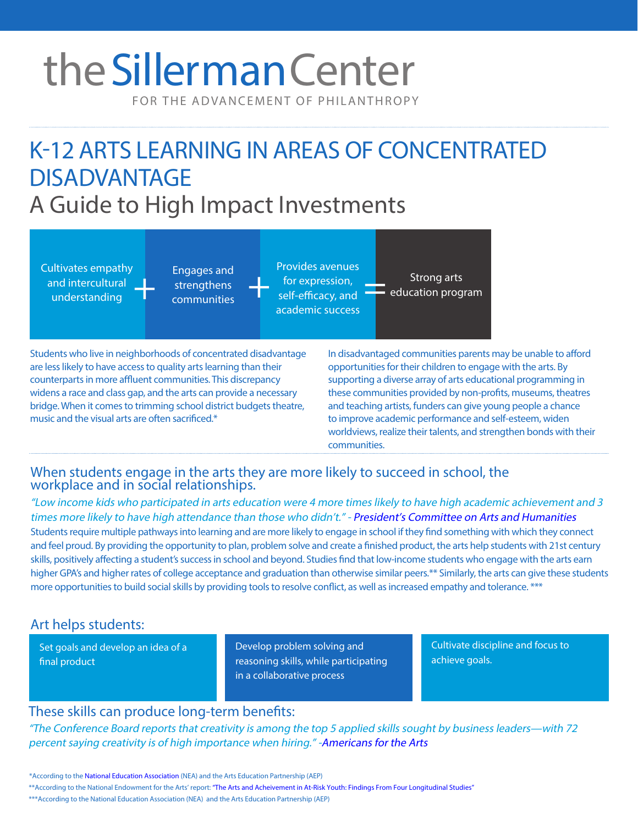# theSillerman Center

FOR THE ADVANCEMENT OF PHILANTHROPY

## K-12 ARTS LEARNING IN AREAS OF CONCENTRATED DISADVANTAGE A Guide to High Impact Investments



Students who live in neighborhoods of concentrated disadvantage are less likely to have access to quality arts learning than their counterparts in more affluent communities. This discrepancy widens a race and class gap, and the arts can provide a necessary bridge. When it comes to trimming school district budgets theatre, music and the visual arts are often sacrificed.\*

In disadvantaged communities parents may be unable to afford opportunities for their children to engage with the arts. By supporting a diverse array of arts educational programming in these communities provided by non-profits, museums, theatres and teaching artists, funders can give young people a chance to improve academic performance and self-esteem, widen worldviews, realize their talents, and strengthen bonds with their communities.

#### When students engage in the arts they are more likely to succeed in school, the workplace and in social relationships.

"Low income kids who participated in arts education were 4 more times likely to have high academic achievement and 3 times more likely to have high attendance than those who didn't." - [President's Committee on Arts and Humanities](http://www.pcah.gov/sites/default/files/photos/PCAH_Reinvesting_4web.pdf) Students require multiple pathways into learning and are more likely to engage in school if they find something with which they connect and feel proud. By providing the opportunity to plan, problemsolve and create a finished product, the arts help students with 21st century skills, positively affecting a student's success in school and beyond. Studies find that low-income students who engage with the arts earn higher GPA's and higher rates of college acceptance and graduation than otherwise similar peers.\*\* Similarly, the arts can give these students more opportunities to build social skills by providing tools to resolve conflict, as well as increased empathy and tolerance. \*\*\*

#### Art helps students:

Set goals and develop an idea of a final product

Develop problem solving and reasoning skills, while participating in a collaborative process

Cultivate discipline and focus to achieve goals.

#### These skills can produce long-term benefits:

"The Conference Board reports that creativity is among the top 5 applied skills sought by business leaders—with 72 percent saying creativity is of high importance when hiring." [-Americans for the Arts](http://www.americansforthearts.org/sites/default/files/pdf/2015/by_program/reports_and_data/research_studies_and_publications/10_Reasons_to_Support_the_Arts.pdf)

<sup>\*</sup> According to the [National Education Association](http://www.nea.org/home/10630.htm) (NEA) and the Arts Education Partnership (AEP)

<sup>\*\*</sup>According to the National Endowment for the Arts' report: ["The Arts and Acheivement in At-Risk Youth: Findings From Four Longitudinal Studies"](https://www.arts.gov/sites/default/files/Arts-At-Risk-Youth.pdf)

<sup>\*\*\*</sup>According to the National Education Association (NEA) and the Arts Education Partnership (AEP)